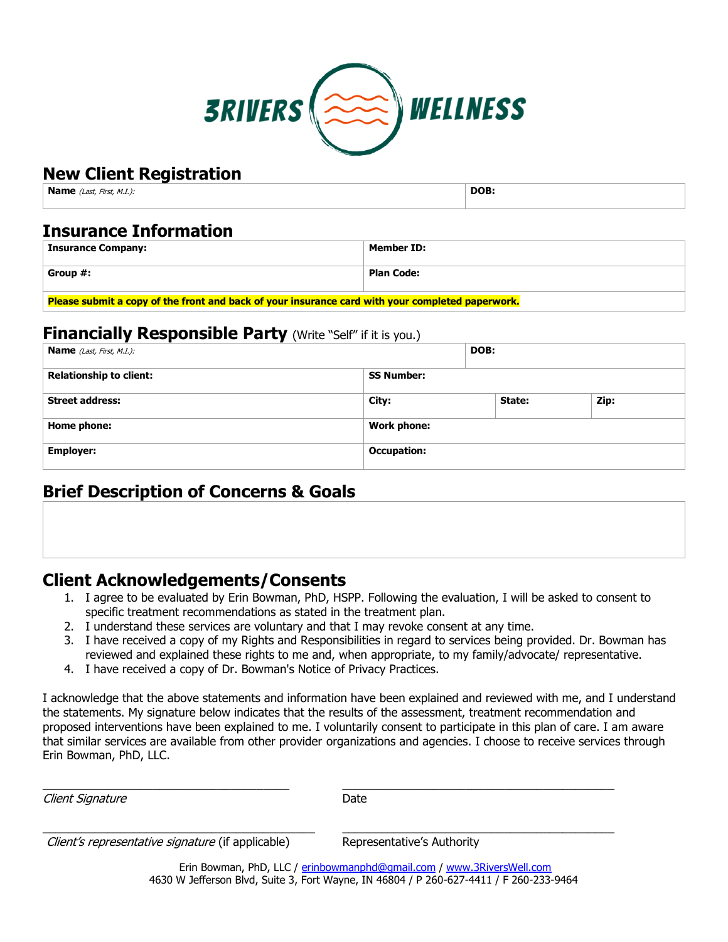

# **New Client Registration**

| <b>Name</b> (Last, First, M.I.): | DOB: |
|----------------------------------|------|
|                                  |      |

### **Insurance Information**

| <b>Insurance Company:</b> | Member ID:        |
|---------------------------|-------------------|
| Group #:                  | <b>Plan Code:</b> |
|                           |                   |

**Please submit a copy of the front and back of your insurance card with your completed paperwork.**

### **Financially Responsible Party** (Write "Self" if it is you.)

| <b>Name</b> (Last, First, M.I.): |                    | DOB: |        |  |      |
|----------------------------------|--------------------|------|--------|--|------|
| <b>Relationship to client:</b>   | <b>SS Number:</b>  |      |        |  |      |
| <b>Street address:</b>           | City:              |      | State: |  | Zip: |
| Home phone:                      | <b>Work phone:</b> |      |        |  |      |
| <b>Employer:</b>                 | <b>Occupation:</b> |      |        |  |      |

## **Brief Description of Concerns & Goals**

# **Client Acknowledgements/Consents**

- 1. I agree to be evaluated by Erin Bowman, PhD, HSPP. Following the evaluation, I will be asked to consent to specific treatment recommendations as stated in the treatment plan.
- 2. I understand these services are voluntary and that I may revoke consent at any time.
- 3. I have received a copy of my Rights and Responsibilities in regard to services being provided. Dr. Bowman has reviewed and explained these rights to me and, when appropriate, to my family/advocate/ representative.
- 4. I have received a copy of Dr. Bowman's Notice of Privacy Practices.

I acknowledge that the above statements and information have been explained and reviewed with me, and I understand the statements. My signature below indicates that the results of the assessment, treatment recommendation and proposed interventions have been explained to me. I voluntarily consent to participate in this plan of care. I am aware that similar services are available from other provider organizations and agencies. I choose to receive services through Erin Bowman, PhD, LLC.

Client Signature **Date** Date

\_\_\_\_\_\_\_\_\_\_\_\_\_\_\_\_\_\_\_\_\_\_\_\_\_\_\_\_\_\_\_\_\_\_\_\_\_\_ \_\_\_\_\_\_\_\_\_\_\_\_\_\_\_\_\_\_\_\_\_\_\_\_\_\_\_\_\_\_\_\_\_\_\_\_\_\_\_\_\_\_

\_\_\_\_\_\_\_\_\_\_\_\_\_\_\_\_\_\_\_\_\_\_\_\_\_\_\_\_\_\_\_\_\_\_\_\_\_\_\_\_\_\_ \_\_\_\_\_\_\_\_\_\_\_\_\_\_\_\_\_\_\_\_\_\_\_\_\_\_\_\_\_\_\_\_\_\_\_\_\_\_\_\_\_\_ Client's representative signature (if applicable) Representative's Authority

Erin Bowman, PhD, LLC / [erinbowmanphd@gmail.com](mailto:erinbowmanphd@gmail.com) / [www.3RiversWell.com](http://www.3riverswell.com/) 4630 W Jefferson Blvd, Suite 3, Fort Wayne, IN 46804 / P 260-627-4411 / F 260-233-9464